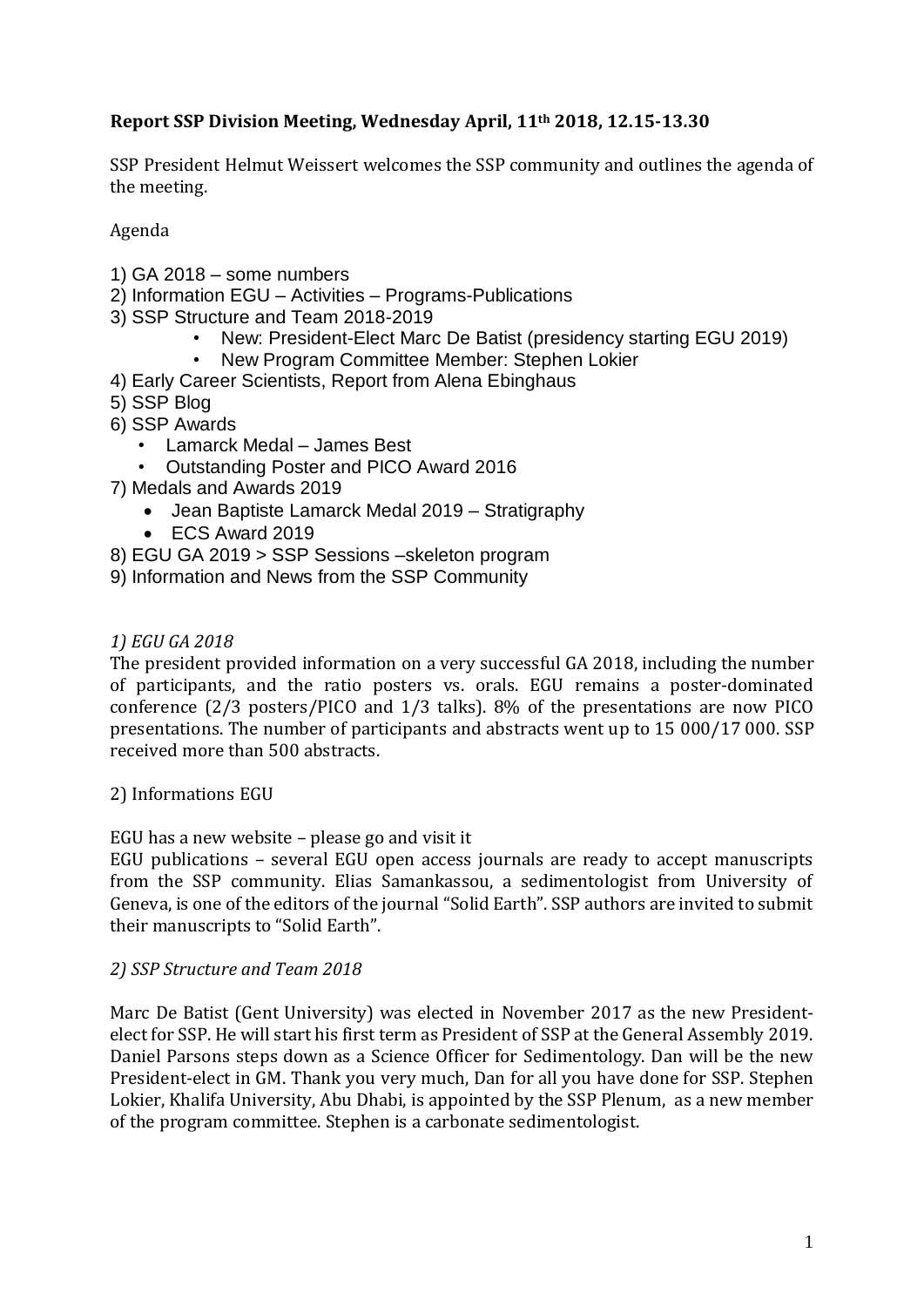# **Report SSP Division Meeting, Wednesday April, 11th 2018, 12.15-13.30**

SSP President Helmut Weissert welcomes the SSP community and outlines the agenda of the meeting.

Agenda

- 1) GA 2018 some numbers
- 2) Information EGU Activities Programs-Publications
- 3) SSP Structure and Team 2018-2019
	- New: President-Elect Marc De Batist (presidency starting EGU 2019)
	- New Program Committee Member: Stephen Lokier
- 4) Early Career Scientists, Report from Alena Ebinghaus
- 5) SSP Blog
- 6) SSP Awards
	- Lamarck Medal James Best
	- Outstanding Poster and PICO Award 2016
- 7) Medals and Awards 2019
	- Jean Baptiste Lamarck Medal 2019 Stratigraphy
	- ECS Award 2019
- 8) EGU GA 2019 > SSP Sessions –skeleton program
- 9) Information and News from the SSP Community

## *1) EGU GA 2018*

The president provided information on a very successful GA 2018, including the number of participants, and the ratio posters vs. orals. EGU remains a poster-dominated conference (2/3 posters/PICO and 1/3 talks). 8% of the presentations are now PICO presentations. The number of participants and abstracts went up to 15 000/17 000. SSP received more than 500 abstracts.

2) Informations EGU

## EGU has a new website – please go and visit it

EGU publications – several EGU open access journals are ready to accept manuscripts from the SSP community. Elias Samankassou, a sedimentologist from University of Geneva, is one of the editors of the journal "Solid Earth". SSP authors are invited to submit their manuscripts to "Solid Earth".

## *2) SSP Structure and Team 2018*

Marc De Batist (Gent University) was elected in November 2017 as the new Presidentelect for SSP. He will start his first term as President of SSP at the General Assembly 2019. Daniel Parsons steps down as a Science Officer for Sedimentology. Dan will be the new President-elect in GM. Thank you very much, Dan for all you have done for SSP. Stephen Lokier, Khalifa University, Abu Dhabi, is appointed by the SSP Plenum, as a new member of the program committee. Stephen is a carbonate sedimentologist.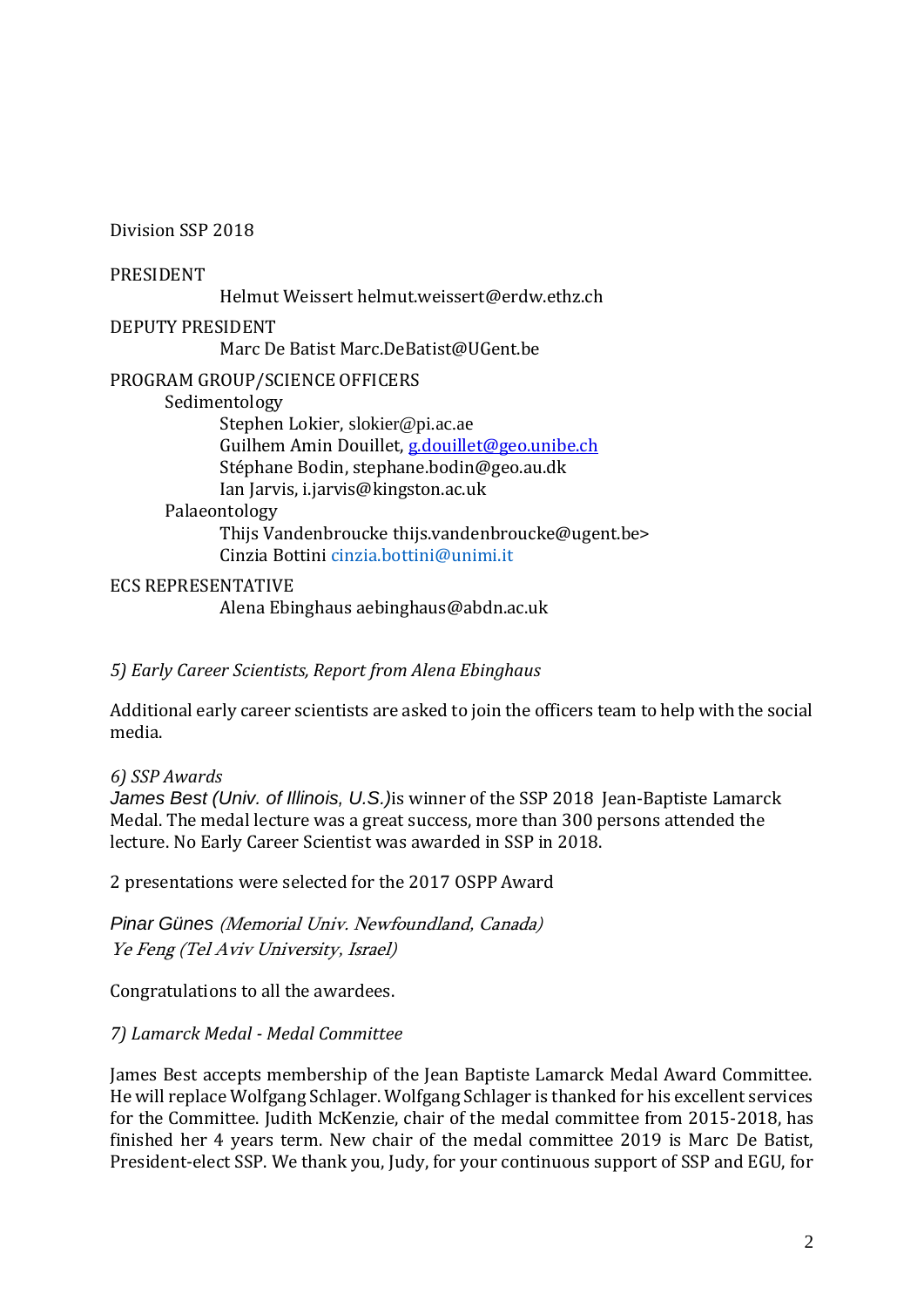Division SSP 2018

PRESIDENT

Helmut Weissert helmut.weissert@erdw.ethz.ch

DEPUTY PRESIDENT

Marc De Batist Marc.DeBatist@UGent.be

PROGRAM GROUP/SCIENCE OFFICERS

Sedimentology

Stephen Lokier, slokier@pi.ac.ae Guilhem Amin Douillet, [g.douillet@geo.unibe.ch](mailto:g.douillet@unibe.ch) Stéphane Bodin, stephane.bodin@geo.au.dk Ian Jarvis, i.jarvis@kingston.ac.uk Palaeontology

> Thijs Vandenbroucke thijs.vandenbroucke@ugent.be> Cinzia Bottini cinzia hottini@unimi.it

ECS REPRESENTATIVE

Alena Ebinghaus aebinghaus@abdn.ac.uk

*5) Early Career Scientists, Report from Alena Ebinghaus*

Additional early career scientists are asked to join the officers team to help with the social media.

*6) SSP Awards*

*James Best (Univ. of Illinois, U.S.)*is winner of the SSP 2018 Jean-Baptiste Lamarck Medal. The medal lecture was a great success, more than 300 persons attended the lecture. No Early Career Scientist was awarded in SSP in 2018.

2 presentations were selected for the 2017 OSPP Award

*Pinar Günes* (Memorial Univ. Newfoundland, Canada) Ye Feng (Tel Aviv University, Israel)

Congratulations to all the awardees.

## *7) Lamarck Medal - Medal Committee*

James Best accepts membership of the Jean Baptiste Lamarck Medal Award Committee. He will replace Wolfgang Schlager. Wolfgang Schlager is thanked for his excellent services for the Committee. Judith McKenzie, chair of the medal committee from 2015-2018, has finished her 4 years term. New chair of the medal committee 2019 is Marc De Batist, President-elect SSP. We thank you, Judy, for your continuous support of SSP and EGU, for